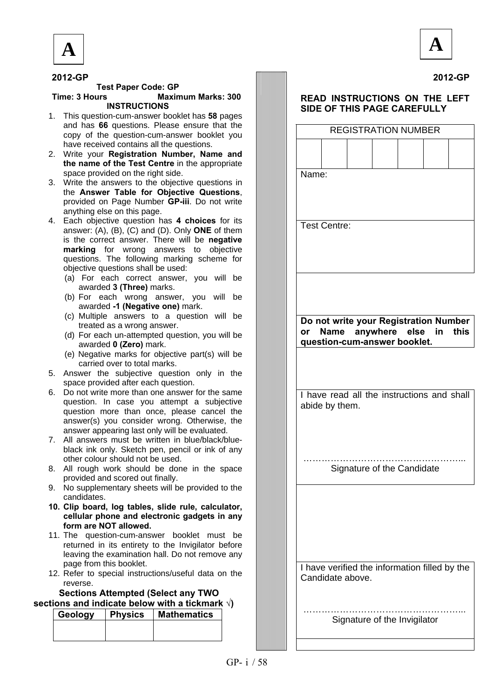



**2012-GP**

### **2012-GP**

#### **Test Paper Code: GP Time: 3 Hours Maximum Marks: 300 INSTRUCTIONS**

- 1. This question-cum-answer booklet has **58** pages and has **66** questions. Please ensure that the copy of the question-cum-answer booklet you have received contains all the questions.
- 2. Write your **Registration Number, Name and the name of the Test Centre** in the appropriate space provided on the right side.
- 3. Write the answers to the objective questions in the **Answer Table for Objective Questions**, provided on Page Number **GP-iii**. Do not write anything else on this page.
- 4. Each objective question has **4 choices** for its answer: (A), (B), (C) and (D). Only **ONE** of them is the correct answer. There will be **negative marking** for wrong answers to objective questions. The following marking scheme for objective questions shall be used:
	- (a) For each correct answer, you will be awarded **3 (Three)** marks.
	- (b) For each wrong answer, you will be awarded **-1 (Negative one)** mark.
	- (c) Multiple answers to a question will be treated as a wrong answer.
	- (d) For each un-attempted question, you will be awarded **0 (Zero)** mark.
	- (e) Negative marks for objective part(s) will be carried over to total marks.
- 5. Answer the subjective question only in the space provided after each question.
- 6. Do not write more than one answer for the same question. In case you attempt a subjective question more than once, please cancel the answer(s) you consider wrong. Otherwise, the answer appearing last only will be evaluated.
- 7. All answers must be written in blue/black/blueblack ink only. Sketch pen, pencil or ink of any other colour should not be used.
- 8. All rough work should be done in the space provided and scored out finally.
- 9. No supplementary sheets will be provided to the candidates.
- **10. Clip board, log tables, slide rule, calculator, cellular phone and electronic gadgets in any form are NOT allowed.**
- 11. The question-cum-answer booklet must be returned in its entirety to the Invigilator before leaving the examination hall. Do not remove any page from this booklet.
- 12. Refer to special instructions/useful data on the reverse.

### **Sections Attempted (Select any TWO sections and indicate below with a tickmark √)**

| Geology | <b>Physics</b> | Mathematics |
|---------|----------------|-------------|
|         |                |             |
|         |                |             |
|         |                |             |

### **READ INSTRUCTIONS ON THE LEFT SIDE OF THIS PAGE CAREFULLY**

| <b>REGISTRATION NUMBER</b>                                                                                |
|-----------------------------------------------------------------------------------------------------------|
|                                                                                                           |
| Name:                                                                                                     |
|                                                                                                           |
| <b>Test Centre:</b>                                                                                       |
|                                                                                                           |
|                                                                                                           |
|                                                                                                           |
| Do not write your Registration Number<br>Name anywhere else in this<br>or<br>question-cum-answer booklet. |
|                                                                                                           |
| I have read all the instructions and shall                                                                |
| abide by them.                                                                                            |
|                                                                                                           |
| Signature of the Candidate                                                                                |
|                                                                                                           |
|                                                                                                           |
|                                                                                                           |
| I have verified the information filled by the<br>Candidate above.                                         |
| Signature of the Invigilator                                                                              |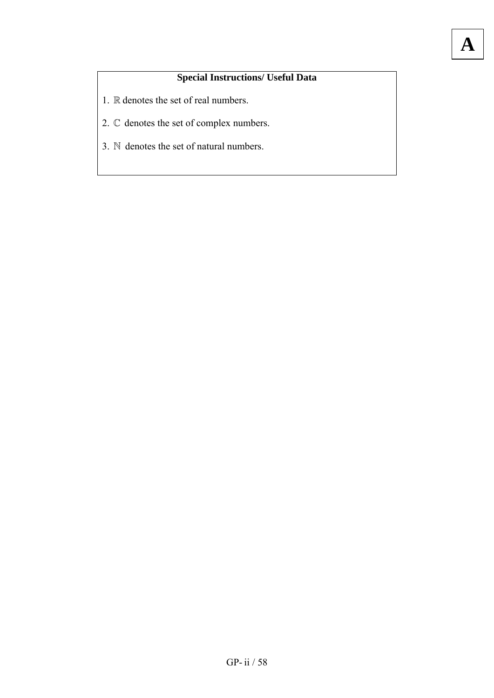# **Special Instructions/ Useful Data**

**A**

- 1.  $\mathbb R$  denotes the set of real numbers.
- 2.  $\mathbb C$  denotes the set of complex numbers.
- 3.  $\mathbb N$  denotes the set of natural numbers.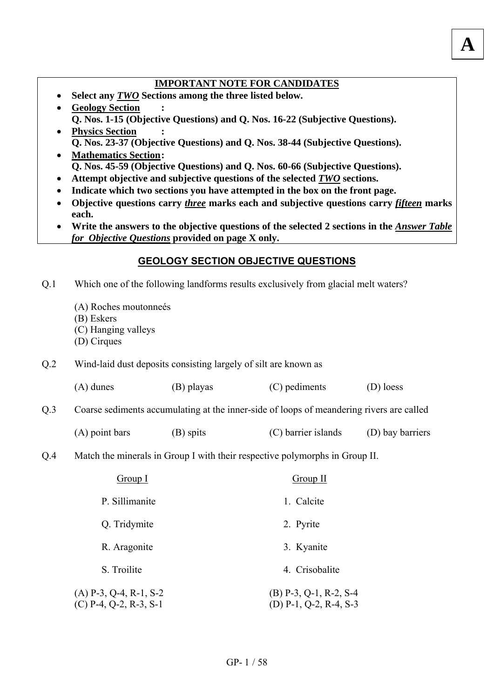## **IMPORTANT NOTE FOR CANDIDATES**

**A**

- **Select any** *TWO* **Sections among the three listed below.**
- **Geology Section Q. Nos. 1-15 (Objective Questions) and Q. Nos. 16-22 (Subjective Questions).**
- **Physics Section : Q. Nos. 23-37 (Objective Questions) and Q. Nos. 38-44 (Subjective Questions).**  • **Mathematics Section :** 
	- **Q. Nos. 45-59 (Objective Questions) and Q. Nos. 60-66 (Subjective Questions).**
- **Attempt objective and subjective questions of the selected** *TWO* **sections.**
- **Indicate which two sections you have attempted in the box on the front page.**
- **Objective questions carry** *three* **marks each and subjective questions carry** *fifteen* **marks each.**
- Write the answers to the objective questions of the selected 2 sections in the *Answer Table for Objective Questions* **provided on page X only.**

## **GEOLOGY SECTION OBJECTIVE QUESTIONS**

- Which one of the following landforms results exclusively from glacial melt waters? Q.1
	- (A) Roches moutonneés
	- (B) Eskers
	- (C) Hanging valleys
	- (D) Cirques

Q.2 Wind-laid dust deposits consisting largely of silt are known as

|  | $(A)$ dunes | (B) playas | (C) pediments | (D) loess |
|--|-------------|------------|---------------|-----------|
|--|-------------|------------|---------------|-----------|

## Q.3 Coarse sediments accumulating at the inner-side of loops of meandering rivers are called

- (A) point bars (B) spits (C) barrier islands (D) bay barriers
- Match the minerals in Group I with their respective polymorphs in Group II. Q.4

| Group I                                              | Group II                                           |
|------------------------------------------------------|----------------------------------------------------|
| P. Sillimanite                                       | 1. Calcite                                         |
| Q. Tridymite                                         | 2. Pyrite                                          |
| R. Aragonite                                         | 3. Kyanite                                         |
| S. Troilite                                          | 4. Crisobalite                                     |
| $(A)$ P-3, Q-4, R-1, S-2<br>$(C)$ P-4, Q-2, R-3, S-1 | $(B)$ P-3, Q-1, R-2, S-4<br>(D) P-1, Q-2, R-4, S-3 |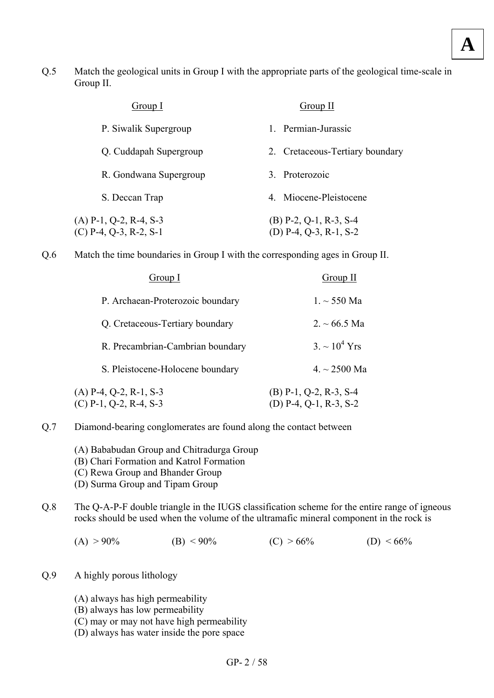Match the geological units in Group I with the appropriate parts of the geological time-scale in Group II. Q.5

| Group I                                              | Group II                                           |
|------------------------------------------------------|----------------------------------------------------|
| P. Siwalik Supergroup                                | Permian-Jurassic                                   |
| Q. Cuddapah Supergroup                               | 2. Cretaceous-Tertiary boundary                    |
| R. Gondwana Supergroup                               | 3. Proterozoic                                     |
| S. Deccan Trap                                       | 4. Miocene-Pleistocene                             |
| $(A)$ P-1, Q-2, R-4, S-3<br>$(C)$ P-4, Q-3, R-2, S-1 | $(B)$ P-2, Q-1, R-3, S-4<br>(D) P-4, Q-3, R-1, S-2 |

Match the time boundaries in Group I with the corresponding ages in Group II. Q.6

| Group I                                              | Group II                                             |
|------------------------------------------------------|------------------------------------------------------|
| P. Archaean-Proterozoic boundary                     | $1. \sim 550$ Ma                                     |
| Q. Cretaceous-Tertiary boundary                      | $2. \sim 66.5$ Ma                                    |
| R. Precambrian-Cambrian boundary                     | $3. \sim 10^4$ Yrs                                   |
| S. Pleistocene-Holocene boundary                     | $4. \sim 2500$ Ma                                    |
| $(A)$ P-4, Q-2, R-1, S-3<br>$(C)$ P-1, Q-2, R-4, S-3 | $(B)$ P-1, Q-2, R-3, S-4<br>$(D)$ P-4, Q-1, R-3, S-2 |

- Diamond-bearing conglomerates are found along the contact between Q.7
	- (A) Bababudan Group and Chitradurga Group
	- (B) Chari Formation and Katrol Formation
	- (C) Rewa Group and Bhander Group
	- (D) Surma Group and Tipam Group
- The Q-A-P-F double triangle in the IUGS classification scheme for the entire range of igneous rocks should be used when the volume of the ultramafic mineral component in the rock is Q.8
	- (A)  $> 90\%$  (B)  $< 90\%$  (C)  $> 66\%$  (D)  $< 66\%$
- A highly porous lithology Q.9
	- (A) always has high permeability
	- (B) always has low permeability
	- (C) may or may not have high permeability
	- (D) always has water inside the pore space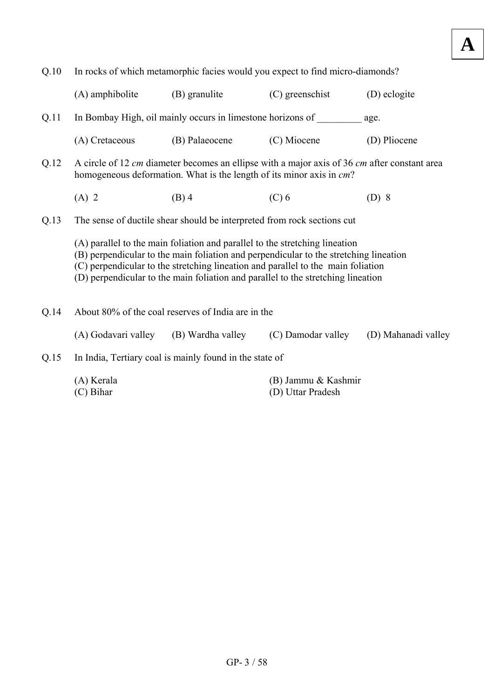| Q.10 |                           |                                                                             | In rocks of which metamorphic facies would you expect to find micro-diamonds?                                                                                                                                                                                 |                                                                                                         |
|------|---------------------------|-----------------------------------------------------------------------------|---------------------------------------------------------------------------------------------------------------------------------------------------------------------------------------------------------------------------------------------------------------|---------------------------------------------------------------------------------------------------------|
|      | (A) amphibolite           | (B) granulite                                                               | (C) greenschist                                                                                                                                                                                                                                               | (D) eclogite                                                                                            |
| Q.11 |                           | In Bombay High, oil mainly occurs in limestone horizons of                  |                                                                                                                                                                                                                                                               | age.                                                                                                    |
|      | (A) Cretaceous            | (B) Palaeocene                                                              | (C) Miocene                                                                                                                                                                                                                                                   | (D) Pliocene                                                                                            |
| Q.12 |                           | homogeneous deformation. What is the length of its minor axis in cm?        |                                                                                                                                                                                                                                                               |                                                                                                         |
|      | $(A)$ 2                   | $(B)$ 4                                                                     | $(C)$ 6                                                                                                                                                                                                                                                       | A circle of 12 cm diameter becomes an ellipse with a major axis of 36 cm after constant area<br>$(D)$ 8 |
| Q.13 |                           | The sense of ductile shear should be interpreted from rock sections cut     |                                                                                                                                                                                                                                                               |                                                                                                         |
|      |                           | (A) parallel to the main foliation and parallel to the stretching lineation | (B) perpendicular to the main foliation and perpendicular to the stretching lineation<br>(C) perpendicular to the stretching lineation and parallel to the main foliation<br>(D) perpendicular to the main foliation and parallel to the stretching lineation |                                                                                                         |
| Q.14 |                           | About 80% of the coal reserves of India are in the                          |                                                                                                                                                                                                                                                               |                                                                                                         |
|      | (A) Godavari valley       | (B) Wardha valley                                                           | (C) Damodar valley                                                                                                                                                                                                                                            | (D) Mahanadi valley                                                                                     |
| Q.15 |                           | In India, Tertiary coal is mainly found in the state of                     |                                                                                                                                                                                                                                                               |                                                                                                         |
|      | (A) Kerala<br>$(C)$ Bihar |                                                                             | (B) Jammu & Kashmir<br>(D) Uttar Pradesh                                                                                                                                                                                                                      |                                                                                                         |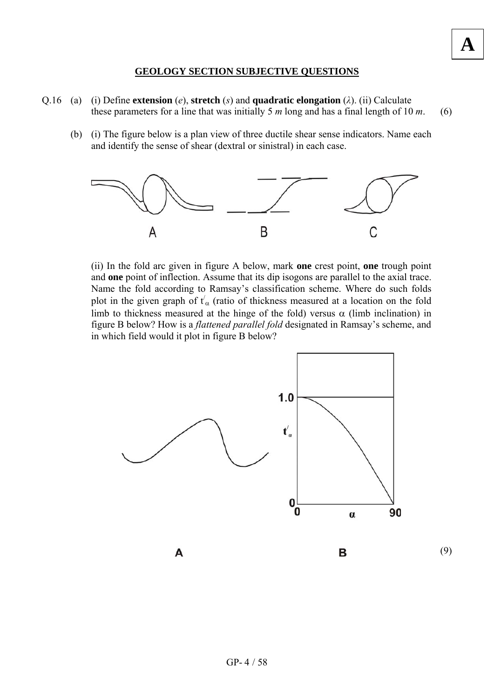### **GEOLOGY SECTION SUBJECTIVE QUESTIONS**

**A**

- Q.16 (a) (i) Define **extension** (*e*), **stretch** (*s*) and **quadratic elongation** (*λ*). (ii) Calculate these parameters for a line that was initially 5 *m* long and has a final length of 10 *m*. (6)
	- (b) (i) The figure below is a plan view of three ductile shear sense indicators. Name each and identify the sense of shear (dextral or sinistral) in each case.



(ii) In the fold arc given in figure A below, mark **one** crest point, **one** trough point and **one** point of inflection. Assume that its dip isogons are parallel to the axial trace. Name the fold according to Ramsay's classification scheme. Where do such folds plot in the given graph of  $t'_{\alpha}$  (ratio of thickness measured at a location on the fold limb to thickness measured at the hinge of the fold) versus  $\alpha$  (limb inclination) in figure B below? How is a *flattened parallel fold* designated in Ramsay's scheme, and in which field would it plot in figure B below?

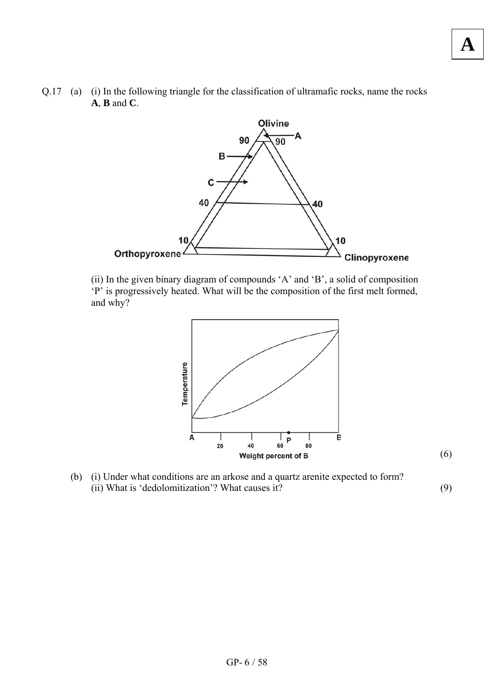Q.17 (a) (i) In the following triangle for the classification of ultramafic rocks, name the rocks **A**, **B** and **C**.



(ii) In the given binary diagram of compounds 'A' and 'B', a solid of composition 'P' is progressively heated. What will be the composition of the first melt formed, and why?



(b) (i) Under what conditions are an arkose and a quartz arenite expected to form? (ii) What is 'dedolomitization'? What causes it? (9)

(6)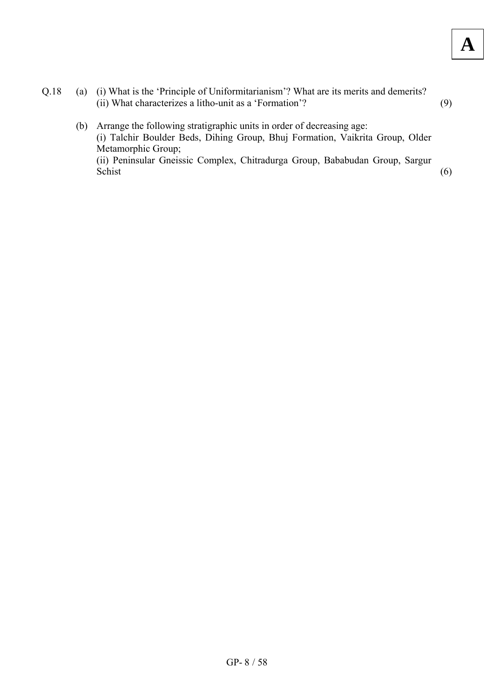- Q.18 (a) (i) What is the 'Principle of Uniformitarianism'? What are its merits and demerits? (ii) What characterizes a litho-unit as a 'Formation'? (9)
	- (b) Arrange the following stratigraphic units in order of decreasing age: (i) Talchir Boulder Beds, Dihing Group, Bhuj Formation, Vaikrita Group, Older Metamorphic Group; (ii) Peninsular Gneissic Complex, Chitradurga Group, Bababudan Group, Sargur Schist (6)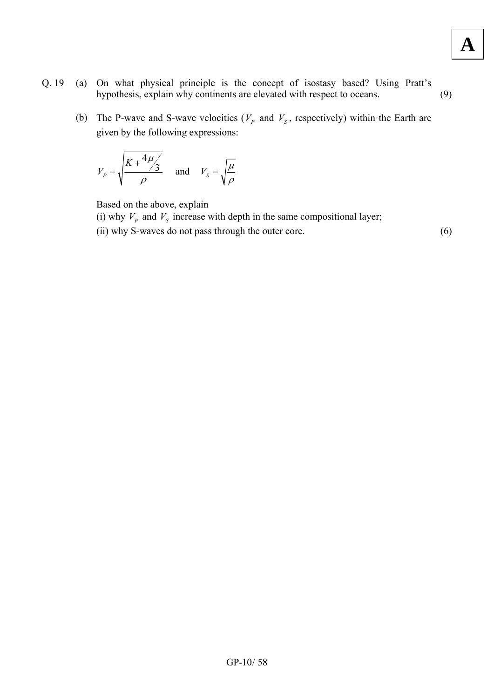- Q. 19 (a) On what physical principle is the concept of isostasy based? Using Pratt's hypothesis, explain why continents are elevated with respect to oceans. (9)
	- (b) The P-wave and S-wave velocities ( $V_p$  and  $V_s$ , respectively) within the Earth are given by the following expressions:

$$
V_p = \sqrt{\frac{K + \frac{4\mu}{3}}{\rho}} \quad \text{and} \quad V_s = \sqrt{\frac{\mu}{\rho}}
$$

Based on the above, explain

- (i) why  $V_p$  and  $V_s$  increase with depth in the same compositional layer;
- (ii) why S-waves do not pass through the outer core. (6)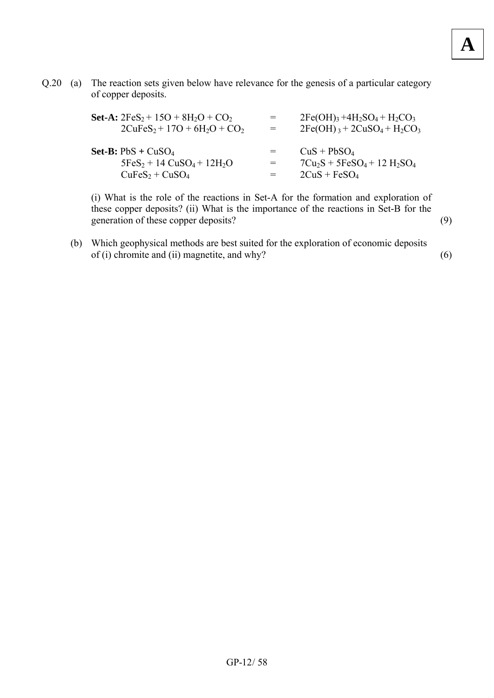Q.20 (a) The reaction sets given below have relevance for the genesis of a particular category of copper deposits.

| <b>Set-A:</b> $2FeS_2 + 15O + 8H_2O + CO_2$<br>$2CuFeS2 + 17O + 6H2O + CO2$      | $=$        | $2Fe(OH)_{3} + 4H_{2}SO_{4} + H_{2}CO_{3}$<br>$2Fe(OH)_{3} + 2CuSO_{4} + H_{2}CO_{3}$ |
|----------------------------------------------------------------------------------|------------|---------------------------------------------------------------------------------------|
| <b>Set-B:</b> $PbS + CuSO4$<br>$5FeS_2 + 14 CuSO_4 + 12H_2O$<br>$CuFeS2 + CuSO4$ | $=$<br>$=$ | $CuS + PbSO4$<br>$7Cu_2S + 5FeSO_4 + 12 H_2SO_4$<br>$2CuS + FeSO4$                    |

(i) What is the role of the reactions in Set-A for the formation and exploration of these copper deposits? (ii) What is the importance of the reactions in Set-B for the generation of these copper deposits? (9)

(b) Which geophysical methods are best suited for the exploration of economic deposits of (i) chromite and (ii) magnetite, and why?  $(6)$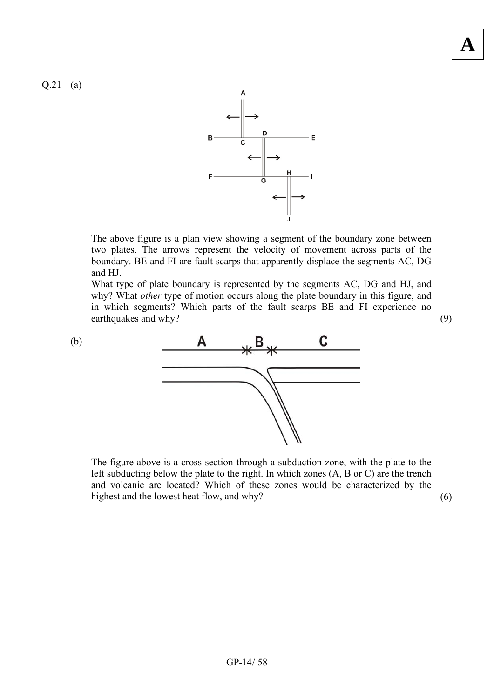Q.21 (a)



The above figure is a plan view showing a segment of the boundary zone between two plates. The arrows represent the velocity of movement across parts of the boundary. BE and FI are fault scarps that apparently displace the segments AC, DG and HJ.

What type of plate boundary is represented by the segments AC, DG and HJ, and why? What *other* type of motion occurs along the plate boundary in this figure, and in which segments? Which parts of the fault scarps BE and FI experience no earthquakes and why? (9)



The figure above is a cross-section through a subduction zone, with the plate to the left subducting below the plate to the right. In which zones (A, B or C) are the trench and volcanic arc located? Which of these zones would be characterized by the highest and the lowest heat flow, and why? (6)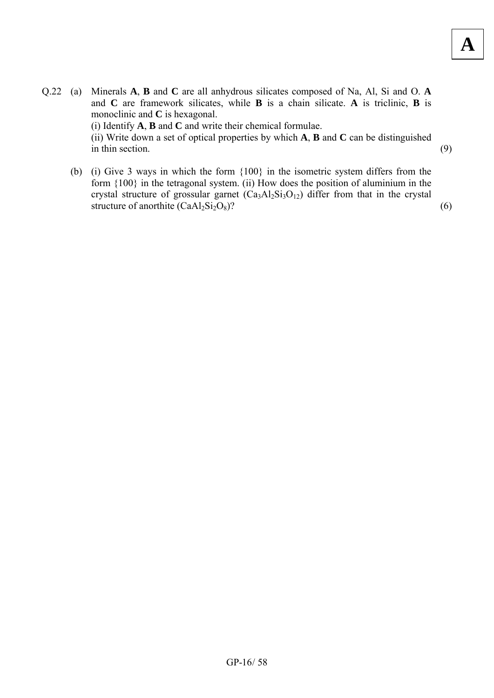- Q.22 (a) Minerals **A**, **B** and **C** are all anhydrous silicates composed of Na, Al, Si and O. **A** and **C** are framework silicates, while **B** is a chain silicate. **A** is triclinic, **B** is monoclinic and **C** is hexagonal. (i) Identify **A**, **B** and **C** and write their chemical formulae. (ii) Write down a set of optical properties by which **A**, **B** and **C** can be distinguished  $\sin \theta$  thin section. (9)
	- (b) (i) Give 3 ways in which the form {100} in the isometric system differs from the form {100} in the tetragonal system. (ii) How does the position of aluminium in the crystal structure of grossular garnet  $(Ca_3A_2Si_3O_{12})$  differ from that in the crystal structure of anorthite  $(CaAl_2Si_2O_8)$ ? (6)

 $GP-16/58$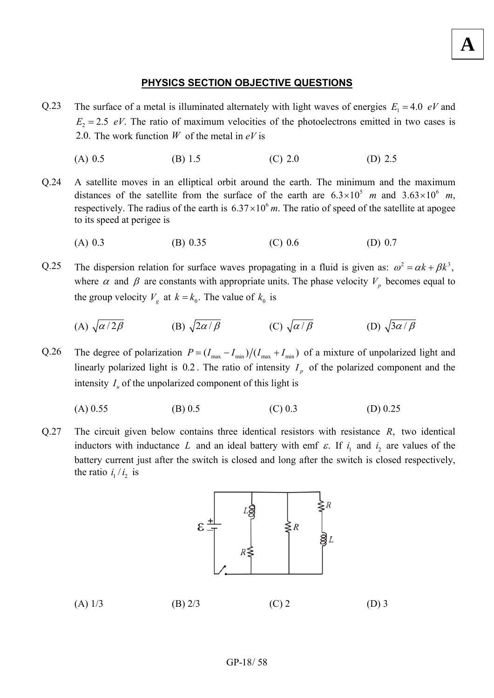## **PHYSICS SECTION OBJECTIVE QUESTIONS**

**A**

- The surface of a metal is illuminated alternately with light waves of energies  $E_1 = 4.0$  *eV* and  $E_2 = 2.5$  *eV*. The ratio of maximum velocities of the photoelectrons emitted in two cases is 2.0. The work function  $W$  of the metal in  $eV$  is Q.23
	- (A)  $0.5$  (B)  $1.5$  (C)  $2.0$  (D)  $2.5$
- A satellite moves in an elliptical orbit around the earth. The minimum and the maximum distances of the satellite from the surface of the earth are  $6.3 \times 10^5$  m and  $3.63 \times 10^6$  m, respectively. The radius of the earth is  $6.37 \times 10^6$  m. The ratio of speed of the satellite at apogee to its speed at perigee is Q.24
	- (A) 0.3 (B) 0.35 (C) 0.6 (D) 0.7
- The dispersion relation for surface waves propagating in a fluid is given as:  $\omega^2 = \alpha k + \beta k^3$ , where  $\alpha$  and  $\beta$  are constants with appropriate units. The phase velocity  $V_p$  becomes equal to the group velocity  $V_g$  at  $k = k_0$ . The value of  $k_0$  is Q.25
	- (A)  $\sqrt{\alpha/2\beta}$  (B)  $\sqrt{2\alpha/\beta}$  (C)  $\sqrt{\alpha/\beta}$  (D)  $\sqrt{3\alpha/\beta}$
- Q.26 The degree of polarization  $P = (I_{\text{max}} I_{\text{min}})/(I_{\text{max}} + I_{\text{min}})$  of a mixture of unpolarized light and linearly polarized light is  $0.2$ . The ratio of intensity  $I_n$  of the polarized component and the intensity  $I_u$  of the unpolarized component of this light is

$$
(A) 0.55 \t\t (B) 0.5 \t\t (C) 0.3 \t\t (D) 0.25
$$

The circuit given below contains three identical resistors with resistance *R*, two identical inductors with inductance L and an ideal battery with emf  $\varepsilon$ . If  $i_1$  and  $i_2$  are values of the battery current just after the switch is closed and long after the switch is closed respectively, the ratio  $i_1/i_2$  is Q.27



| $(A)$ 1/3 | $(B)$ 2/3 | $(C)$ 2 | $(D)$ 3 |
|-----------|-----------|---------|---------|
|-----------|-----------|---------|---------|

#### $GP-18/58$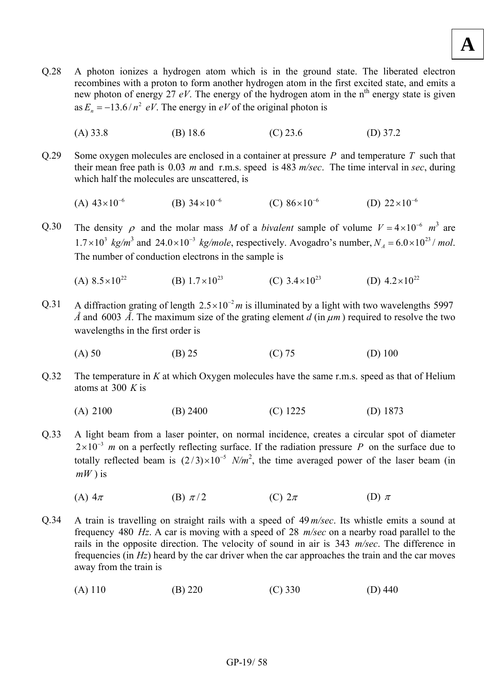- Q.28 A photon ionizes a hydrogen atom which is in the ground state. The liberated electron recombines with a proton to form another hydrogen atom in the first excited state, and emits a new photon of energy 27 *eV*. The energy of the hydrogen atom in the n<sup>th</sup> energy state is given as  $E_n = -13.6 / n^2 eV$ . The energy in *eV* of the original photon is
	- (A) 33.8 (B) 18.6 (C) 23.6 (D) 37.2
- O.29 Some oxygen molecules are enclosed in a container at pressure  $P$  and temperature  $T$  such that their mean free path is 0.03 *m* and r.m.s. speed is 483 *m/sec*. The time interval in *sec*, during which half the molecules are unscattered, is
	- (A)  $43 \times 10^{-6}$  (B)  $34 \times 10^{-6}$  (C)  $86 \times 10^{-6}$  (D)  $22 \times 10^{-6}$
- The density  $\rho$  and the molar mass *M* of a *bivalent* sample of volume  $V = 4 \times 10^{-6}$   $m^3$  are  $1.7 \times 10^3$  *kg/m*<sup>3</sup> and 24.0×10<sup>-3</sup> *kg/mole*, respectively. Avogadro's number,  $N_A = 6.0 \times 10^{23}$ / *mol*. The number of conduction electrons in the sample is Q.30
	- (A)  $8.5 \times 10^{22}$  (B)  $1.7 \times 10^{23}$  (C)  $3.4 \times 10^{23}$  (D)  $4.2 \times 10^{22}$
- A diffraction grating of length  $2.5 \times 10^{-2}$  *m* is illuminated by a light with two wavelengths 5997 *Å* and 6003 *Å*. The maximum size of the grating element *d* (in  $\mu$ *m*) required to resolve the two wavelengths in the first order is Q.31
	- (A) 50 (B) 25 (C) 75 (D) 100
- The temperature in *K* at which Oxygen molecules have the same r.m.s. speed as that of Helium atoms at 300 *K* is Q.32
	- (A) 2100 (B) 2400 (C) 1225 (D) 1873
- A light beam from a laser pointer, on normal incidence, creates a circular spot of diameter  $2 \times 10^{-3}$  *m* on a perfectly reflecting surface. If the radiation pressure *P* on the surface due to totally reflected beam is  $(2/3) \times 10^{-5}$  *N/m<sup>2</sup>*, the time averaged power of the laser beam (in *mW* ) is Q.33
	- (A)  $4\pi$  (B)  $\pi/2$  (C)  $2\pi$  (D)  $\pi$
- A train is travelling on straight rails with a speed of 49 *m/sec*. Its whistle emits a sound at frequency 480 Hz. A car is moving with a speed of 28 *m/sec* on a nearby road parallel to the rails in the opposite direction. The velocity of sound in air is 343 *m/sec*. The difference in frequencies (in *Hz*) heard by the car driver when the car approaches the train and the car moves away from the train is Q.34
	- (A) 110 (B) 220 (C) 330 (D) 440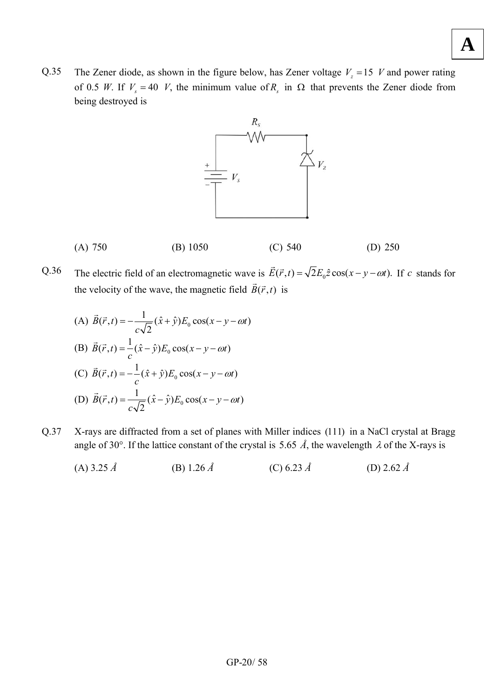Q.35 The Zener diode, as shown in the figure below, has Zener voltage  $V_z = 15$  *V* and power rating of 0.5 *W*. If  $V_s = 40$  *V*, the minimum value of  $R_s$  in  $\Omega$  that prevents the Zener diode from being destroyed is





The electric field of an electromagnetic wave is  $\vec{E}(\vec{r}, t) = \sqrt{2}E_0 \hat{z} \cos(x - y - \omega t)$ . If c stands for the velocity of the wave, the magnetic field  $\vec{B}(\vec{r},t)$  is Q.36

(A) 
$$
\vec{B}(\vec{r},t) = -\frac{1}{c\sqrt{2}}(\hat{x} + \hat{y})E_0 \cos(x - y - \omega t)
$$
  
\n(B)  $\vec{B}(\vec{r},t) = \frac{1}{c}(\hat{x} - \hat{y})E_0 \cos(x - y - \omega t)$   
\n(C)  $\vec{B}(\vec{r},t) = -\frac{1}{c}(\hat{x} + \hat{y})E_0 \cos(x - y - \omega t)$   
\n(D)  $\vec{B}(\vec{r},t) = \frac{1}{c\sqrt{2}}(\hat{x} - \hat{y})E_0 \cos(x - y - \omega t)$ 

Q.37 X-rays are diffracted from a set of planes with Miller indices (111) in a NaCl crystal at Bragg angle of 30°. If the lattice constant of the crystal is 5.65  $\AA$ , the wavelength  $\lambda$  of the X-rays is

(A) 3.25 
$$
\hat{A}
$$
 \t\t (B) 1.26  $\hat{A}$  \t\t (C) 6.23  $\hat{A}$  \t\t (D) 2.62  $\hat{A}$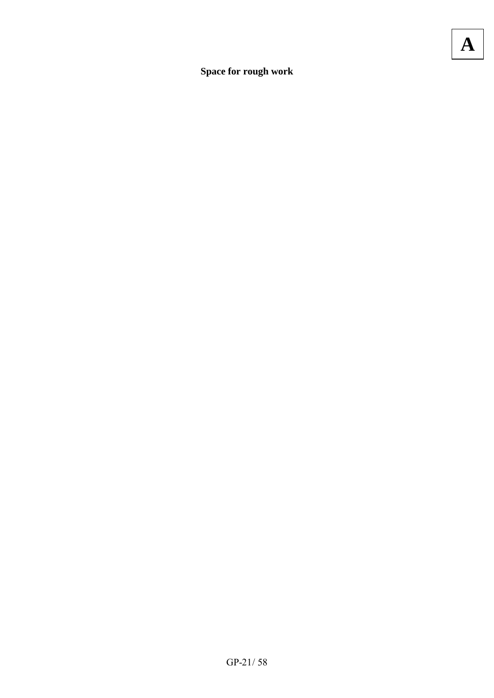Space for rough work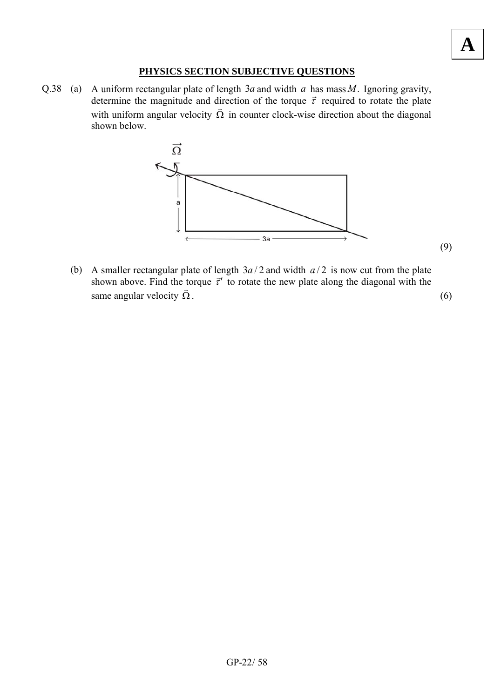## **PHYSICS SECTION SUBJECTIVE QUESTIONS**

Q.38 (a) A uniform rectangular plate of length  $3a$  and width  $a$  has mass  $M$ . Ignoring gravity, determine the magnitude and direction of the torque  $\vec{\tau}$  required to rotate the plate with uniform angular velocity  $\Omega$  in counter clock-wise direction about the diagonal shown below.



**A**

(b) A smaller rectangular plate of length  $3a/2$  and width  $a/2$  is now cut from the plate A smaller rectangular plate of length  $5a/2$  and width  $a/2$  is now cut from the plate shown above. Find the torque  $\vec{\tau}'$  to rotate the new plate along the diagonal with the same angular velocity  $\vec{\Omega}$ . .  $(6)$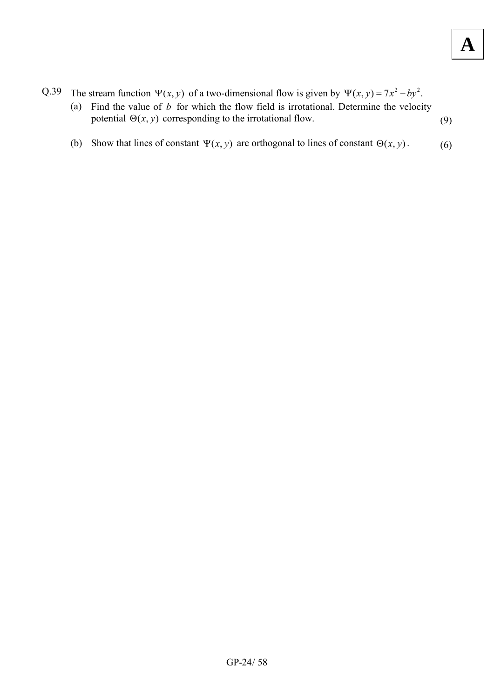- Q.39 The stream function  $\Psi(x, y)$  of a two-dimensional flow is given by  $\Psi(x, y) = 7x^2 by^2$ .
	- (a) Find the value of  $b$  for which the flow field is irrotational. Determine the velocity potential  $\Theta(x, y)$  corresponding to the irrotational flow. (9)
	- (b) Show that lines of constant  $\Psi(x, y)$  are orthogonal to lines of constant  $\Theta(x, y)$ . (6)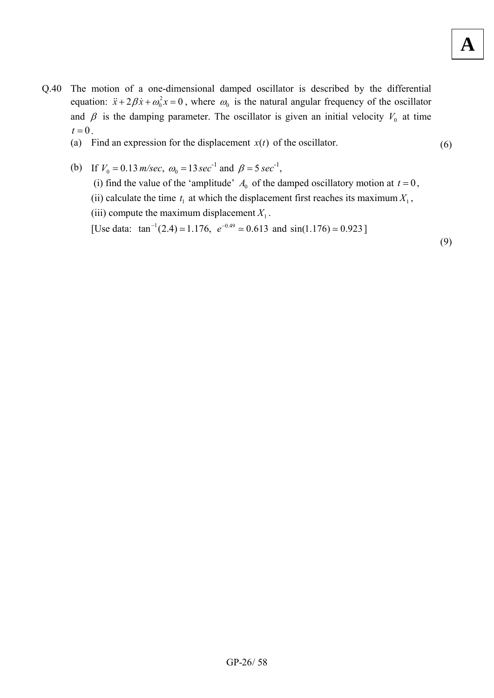- Q.40 The motion of a one-dimensional damped oscillator is described by the differential equation:  $\ddot{x} + 2\beta \dot{x} + \omega_0^2 x = 0$ , where  $\omega_0$  is the natural angular frequency of the oscillator and  $\beta$  is the damping parameter. The oscillator is given an initial velocity  $V_0$  at time  $t=0$ .
	- (a) Find an expression for the displacement  $x(t)$  of the oscillator. (6)
	- (b) If  $V_0 = 0.13 \, \text{m/sec}, \, \omega_0 = 13 \, \text{sec}^{-1}$  and  $\beta = 5 \, \text{sec}^{-1}$ , (i) find the value of the 'amplitude'  $A_0$  of the damped oscillatory motion at  $t = 0$ , (ii) calculate the time  $t_1$  at which the displacement first reaches its maximum  $X_1$ , (iii) compute the maximum displacement  $X_1$ . [Use data:  $\tan^{-1}(2.4) \approx 1.176$ ,  $e^{-0.49} \approx 0.613$  and  $\sin(1.176) \approx 0.923$ ]

(9)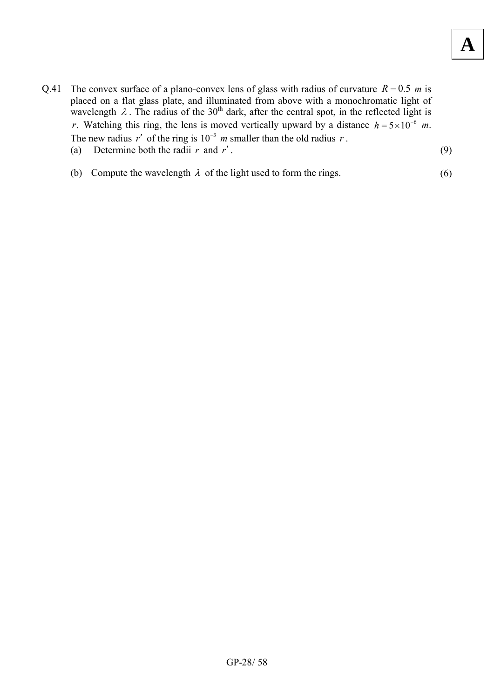- Q.41 The convex surface of a plano-convex lens of glass with radius of curvature  $R = 0.5$  m is placed on a flat glass plate, and illuminated from above with a monochromatic light of wavelength  $\lambda$ . The radius of the 30<sup>th</sup> dark, after the central spot, in the reflected light is *r*. Watching this ring, the lens is moved vertically upward by a distance  $h = 5 \times 10^{-6}$  m. The new radius  $r'$  of the ring is  $10^{-3}$  *m* smaller than the old radius *r*. (a) Determine both the radii  $r$  and  $r'$ . (9)
	-

(b) Compute the wavelength  $\lambda$  of the light used to form the rings. (6)